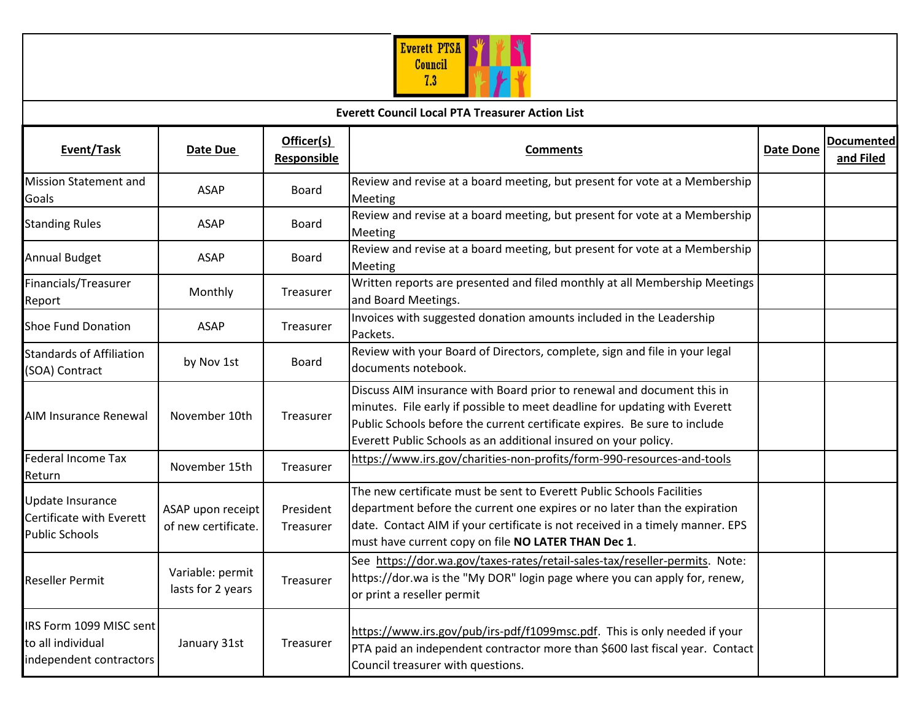

| <b>Everett Council Local PTA Treasurer Action List</b>                  |                                          |                           |                                                                                                                                                                                                                                                                                                      |                  |                                |  |  |  |
|-------------------------------------------------------------------------|------------------------------------------|---------------------------|------------------------------------------------------------------------------------------------------------------------------------------------------------------------------------------------------------------------------------------------------------------------------------------------------|------------------|--------------------------------|--|--|--|
| Event/Task                                                              | Date Due                                 | Officer(s)<br>Responsible | <b>Comments</b>                                                                                                                                                                                                                                                                                      | <b>Date Done</b> | <b>Documented</b><br>and Filed |  |  |  |
| <b>Mission Statement and</b><br>Goals                                   | <b>ASAP</b>                              | <b>Board</b>              | Review and revise at a board meeting, but present for vote at a Membership<br>Meeting                                                                                                                                                                                                                |                  |                                |  |  |  |
| <b>Standing Rules</b>                                                   | <b>ASAP</b>                              | <b>Board</b>              | Review and revise at a board meeting, but present for vote at a Membership<br>Meeting                                                                                                                                                                                                                |                  |                                |  |  |  |
| <b>Annual Budget</b>                                                    | ASAP                                     | Board                     | Review and revise at a board meeting, but present for vote at a Membership<br>Meeting                                                                                                                                                                                                                |                  |                                |  |  |  |
| Financials/Treasurer<br>Report                                          | Monthly                                  | Treasurer                 | Written reports are presented and filed monthly at all Membership Meetings<br>and Board Meetings.                                                                                                                                                                                                    |                  |                                |  |  |  |
| <b>Shoe Fund Donation</b>                                               | <b>ASAP</b>                              | Treasurer                 | Invoices with suggested donation amounts included in the Leadership<br>Packets.                                                                                                                                                                                                                      |                  |                                |  |  |  |
| <b>Standards of Affiliation</b><br>(SOA) Contract                       | by Nov 1st                               | Board                     | Review with your Board of Directors, complete, sign and file in your legal<br>documents notebook.                                                                                                                                                                                                    |                  |                                |  |  |  |
| <b>AIM Insurance Renewal</b>                                            | November 10th                            | Treasurer                 | Discuss AIM insurance with Board prior to renewal and document this in<br>minutes. File early if possible to meet deadline for updating with Everett<br>Public Schools before the current certificate expires. Be sure to include<br>Everett Public Schools as an additional insured on your policy. |                  |                                |  |  |  |
| <b>Federal Income Tax</b><br>Return                                     | November 15th                            | Treasurer                 | https://www.irs.gov/charities-non-profits/form-990-resources-and-tools                                                                                                                                                                                                                               |                  |                                |  |  |  |
| Update Insurance<br>Certificate with Everett<br><b>Public Schools</b>   | ASAP upon receipt<br>of new certificate. | President<br>Treasurer    | The new certificate must be sent to Everett Public Schools Facilities<br>department before the current one expires or no later than the expiration<br>date. Contact AIM if your certificate is not received in a timely manner. EPS<br>must have current copy on file NO LATER THAN Dec 1.           |                  |                                |  |  |  |
| <b>Reseller Permit</b>                                                  | Variable: permit<br>lasts for 2 years    | Treasurer                 | See https://dor.wa.gov/taxes-rates/retail-sales-tax/reseller-permits. Note:<br>https://dor.wa is the "My DOR" login page where you can apply for, renew,<br>or print a reseller permit                                                                                                               |                  |                                |  |  |  |
| IRS Form 1099 MISC sent<br>to all individual<br>independent contractors | January 31st                             | Treasurer                 | https://www.irs.gov/pub/irs-pdf/f1099msc.pdf. This is only needed if your<br>PTA paid an independent contractor more than \$600 last fiscal year. Contact<br>Council treasurer with questions.                                                                                                       |                  |                                |  |  |  |